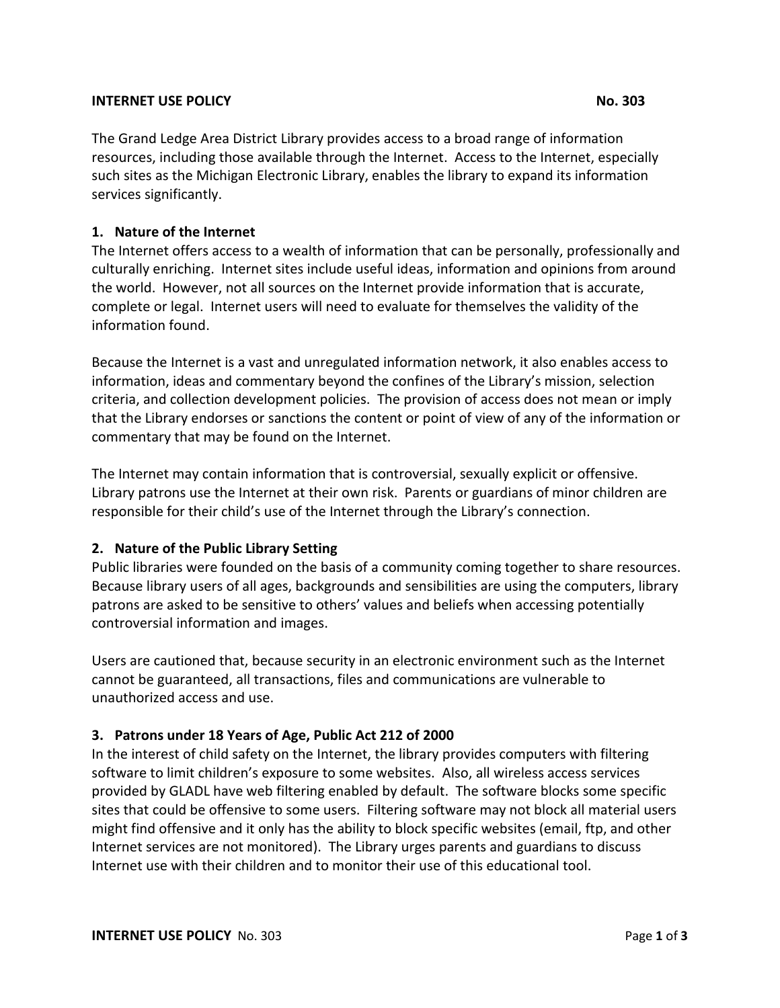#### **INTERNET USE POLICY No. 303**

The Grand Ledge Area District Library provides access to a broad range of information resources, including those available through the Internet. Access to the Internet, especially such sites as the Michigan Electronic Library, enables the library to expand its information services significantly.

# **1. Nature of the Internet**

The Internet offers access to a wealth of information that can be personally, professionally and culturally enriching. Internet sites include useful ideas, information and opinions from around the world. However, not all sources on the Internet provide information that is accurate, complete or legal. Internet users will need to evaluate for themselves the validity of the information found.

Because the Internet is a vast and unregulated information network, it also enables access to information, ideas and commentary beyond the confines of the Library's mission, selection criteria, and collection development policies. The provision of access does not mean or imply that the Library endorses or sanctions the content or point of view of any of the information or commentary that may be found on the Internet.

The Internet may contain information that is controversial, sexually explicit or offensive. Library patrons use the Internet at their own risk. Parents or guardians of minor children are responsible for their child's use of the Internet through the Library's connection.

# **2. Nature of the Public Library Setting**

Public libraries were founded on the basis of a community coming together to share resources. Because library users of all ages, backgrounds and sensibilities are using the computers, library patrons are asked to be sensitive to others' values and beliefs when accessing potentially controversial information and images.

Users are cautioned that, because security in an electronic environment such as the Internet cannot be guaranteed, all transactions, files and communications are vulnerable to unauthorized access and use.

# **3. Patrons under 18 Years of Age, Public Act 212 of 2000**

In the interest of child safety on the Internet, the library provides computers with filtering software to limit children's exposure to some websites. Also, all wireless access services provided by GLADL have web filtering enabled by default. The software blocks some specific sites that could be offensive to some users. Filtering software may not block all material users might find offensive and it only has the ability to block specific websites (email, ftp, and other Internet services are not monitored).The Library urges parents and guardians to discuss Internet use with their children and to monitor their use of this educational tool.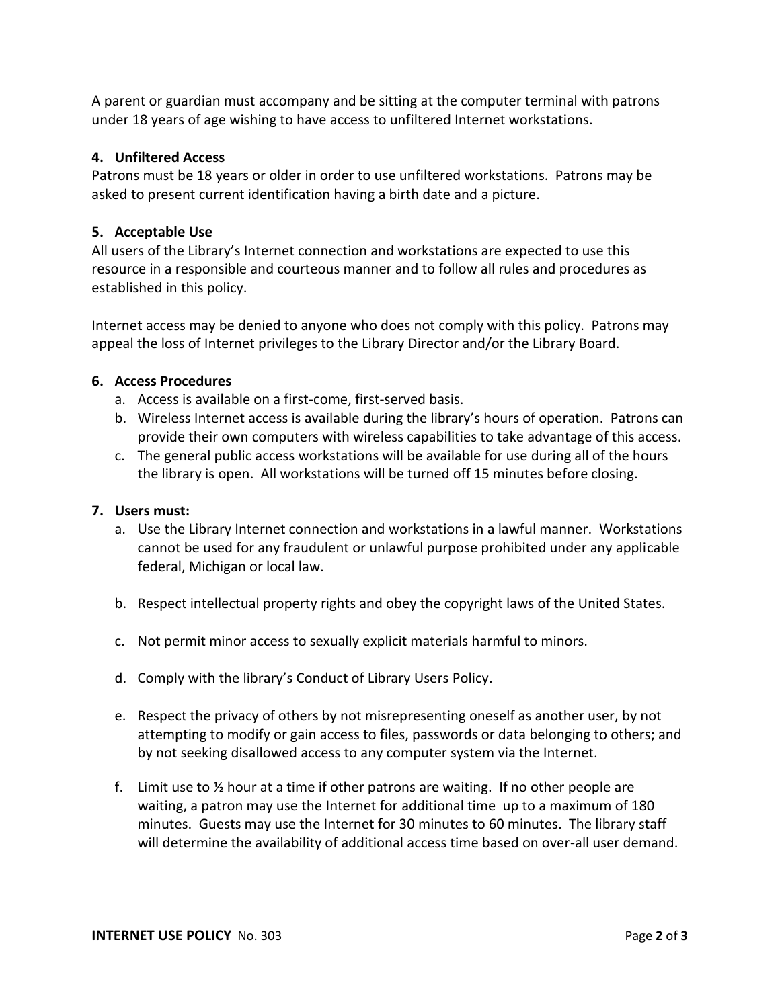A parent or guardian must accompany and be sitting at the computer terminal with patrons under 18 years of age wishing to have access to unfiltered Internet workstations.

## **4. Unfiltered Access**

Patrons must be 18 years or older in order to use unfiltered workstations. Patrons may be asked to present current identification having a birth date and a picture.

## **5. Acceptable Use**

All users of the Library's Internet connection and workstations are expected to use this resource in a responsible and courteous manner and to follow all rules and procedures as established in this policy.

Internet access may be denied to anyone who does not comply with this policy. Patrons may appeal the loss of Internet privileges to the Library Director and/or the Library Board.

#### **6. Access Procedures**

- a. Access is available on a first-come, first-served basis.
- b. Wireless Internet access is available during the library's hours of operation. Patrons can provide their own computers with wireless capabilities to take advantage of this access.
- c. The general public access workstations will be available for use during all of the hours the library is open. All workstations will be turned off 15 minutes before closing.

#### **7. Users must:**

- a. Use the Library Internet connection and workstations in a lawful manner. Workstations cannot be used for any fraudulent or unlawful purpose prohibited under any applicable federal, Michigan or local law.
- b. Respect intellectual property rights and obey the copyright laws of the United States.
- c. Not permit minor access to sexually explicit materials harmful to minors.
- d. Comply with the library's Conduct of Library Users Policy.
- e. Respect the privacy of others by not misrepresenting oneself as another user, by not attempting to modify or gain access to files, passwords or data belonging to others; and by not seeking disallowed access to any computer system via the Internet.
- f. Limit use to  $\frac{1}{2}$  hour at a time if other patrons are waiting. If no other people are waiting, a patron may use the Internet for additional time up to a maximum of 180 minutes. Guests may use the Internet for 30 minutes to 60 minutes. The library staff will determine the availability of additional access time based on over-all user demand.